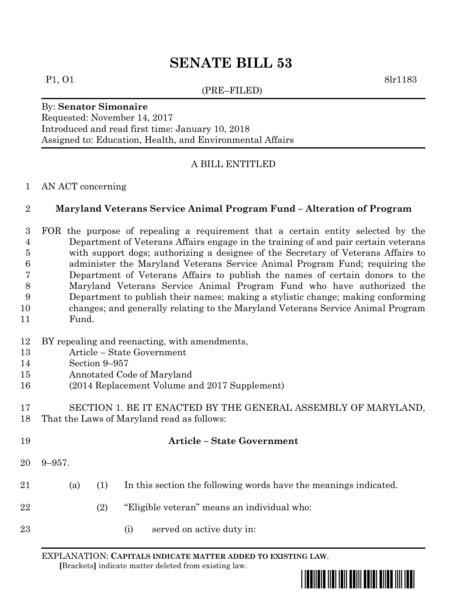# **SENATE BILL 53**

(PRE–FILED)

P1, 01 8lr1183

By: **Senator Simonaire** Requested: November 14, 2017 Introduced and read first time: January 10, 2018 Assigned to: Education, Health, and Environmental Affairs

## A BILL ENTITLED

#### AN ACT concerning

### **Maryland Veterans Service Animal Program Fund – Alteration of Program**

 FOR the purpose of repealing a requirement that a certain entity selected by the Department of Veterans Affairs engage in the training of and pair certain veterans with support dogs; authorizing a designee of the Secretary of Veterans Affairs to administer the Maryland Veterans Service Animal Program Fund; requiring the Department of Veterans Affairs to publish the names of certain donors to the Maryland Veterans Service Animal Program Fund who have authorized the Department to publish their names; making a stylistic change; making conforming changes; and generally relating to the Maryland Veterans Service Animal Program Fund.

- BY repealing and reenacting, with amendments,
- Article State Government
- Section 9–957
- Annotated Code of Maryland
- (2014 Replacement Volume and 2017 Supplement)
- SECTION 1. BE IT ENACTED BY THE GENERAL ASSEMBLY OF MARYLAND, That the Laws of Maryland read as follows:
- **Article – State Government** 9–957. (a) (1) In this section the following words have the meanings indicated. (2) "Eligible veteran" means an individual who:
- 23 (i) served on active duty in:

EXPLANATION: **CAPITALS INDICATE MATTER ADDED TO EXISTING LAW**.

 **[**Brackets**]** indicate matter deleted from existing law.

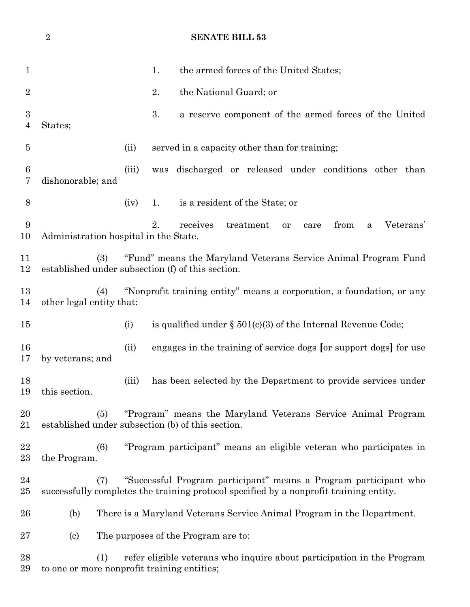# **SENATE BILL 53**

| 1                     |                                                                                                                            |       | 1.  | the armed forces of the United States;                                                                                                                     |  |  |
|-----------------------|----------------------------------------------------------------------------------------------------------------------------|-------|-----|------------------------------------------------------------------------------------------------------------------------------------------------------------|--|--|
| $\overline{2}$        |                                                                                                                            |       | 2.  | the National Guard; or                                                                                                                                     |  |  |
| $\boldsymbol{3}$<br>4 | States;                                                                                                                    |       | 3.  | a reserve component of the armed forces of the United                                                                                                      |  |  |
| 5                     |                                                                                                                            | (ii)  |     | served in a capacity other than for training;                                                                                                              |  |  |
| $\boldsymbol{6}$<br>7 | dishonorable; and                                                                                                          | (iii) | was | discharged or released under conditions other than                                                                                                         |  |  |
| 8                     |                                                                                                                            | (iv)  | 1.  | is a resident of the State; or                                                                                                                             |  |  |
| 9<br>10               | Administration hospital in the State.                                                                                      |       | 2.  | receives<br>treatment<br>from<br>Veterans'<br>or<br>care<br>$\mathbf{a}$                                                                                   |  |  |
| 11<br>12              | "Fund" means the Maryland Veterans Service Animal Program Fund<br>(3)<br>established under subsection (f) of this section. |       |     |                                                                                                                                                            |  |  |
| 13<br>14              | (4)<br>other legal entity that:                                                                                            |       |     | "Nonprofit training entity" means a corporation, a foundation, or any                                                                                      |  |  |
| 15                    |                                                                                                                            | (i)   |     | is qualified under $\S$ 501(c)(3) of the Internal Revenue Code;                                                                                            |  |  |
| 16<br>17              | by veterans; and                                                                                                           | (ii)  |     | engages in the training of service dogs [or support dogs] for use                                                                                          |  |  |
| 18<br>19              | this section.                                                                                                              | (iii) |     | has been selected by the Department to provide services under                                                                                              |  |  |
| 20<br>21              | "Program" means the Maryland Veterans Service Animal Program<br>(5)<br>established under subsection (b) of this section.   |       |     |                                                                                                                                                            |  |  |
| 22<br>23              | (6)<br>the Program.                                                                                                        |       |     | "Program participant" means an eligible veteran who participates in                                                                                        |  |  |
| 24<br>25              | (7)                                                                                                                        |       |     | "Successful Program participant" means a Program participant who<br>successfully completes the training protocol specified by a nonprofit training entity. |  |  |
| 26                    | (b)                                                                                                                        |       |     | There is a Maryland Veterans Service Animal Program in the Department.                                                                                     |  |  |
| 27                    | $\left( \mathrm{c}\right)$                                                                                                 |       |     | The purposes of the Program are to:                                                                                                                        |  |  |
| 28<br>29              | (1)<br>to one or more nonprofit training entities;                                                                         |       |     | refer eligible veterans who inquire about participation in the Program                                                                                     |  |  |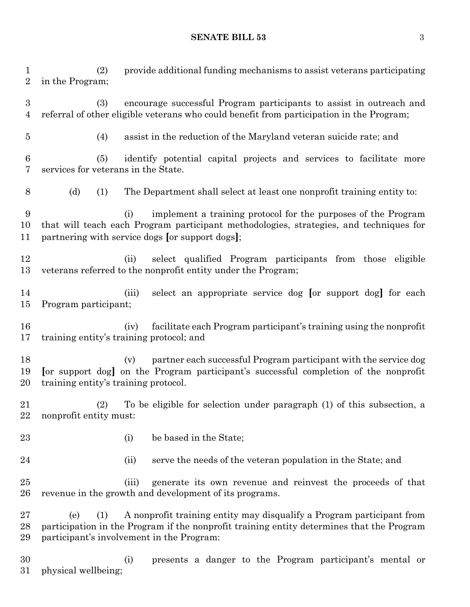**SENATE BILL 53** 3

 (2) provide additional funding mechanisms to assist veterans participating in the Program; (3) encourage successful Program participants to assist in outreach and referral of other eligible veterans who could benefit from participation in the Program; (4) assist in the reduction of the Maryland veteran suicide rate; and (5) identify potential capital projects and services to facilitate more services for veterans in the State. (d) (1) The Department shall select at least one nonprofit training entity to: (i) implement a training protocol for the purposes of the Program that will teach each Program participant methodologies, strategies, and techniques for partnering with service dogs **[**or support dogs**]**; (ii) select qualified Program participants from those eligible veterans referred to the nonprofit entity under the Program; (iii) select an appropriate service dog **[**or support dog**]** for each Program participant; (iv) facilitate each Program participant's training using the nonprofit training entity's training protocol; and (v) partner each successful Program participant with the service dog **[**or support dog**]** on the Program participant's successful completion of the nonprofit training entity's training protocol. (2) To be eligible for selection under paragraph (1) of this subsection, a nonprofit entity must: (i) be based in the State; (ii) serve the needs of the veteran population in the State; and (iii) generate its own revenue and reinvest the proceeds of that revenue in the growth and development of its programs. (e) (1) A nonprofit training entity may disqualify a Program participant from participation in the Program if the nonprofit training entity determines that the Program participant's involvement in the Program: (i) presents a danger to the Program participant's mental or physical wellbeing;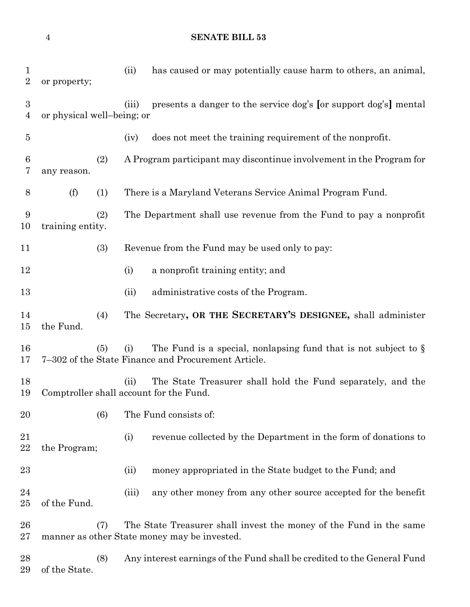**SENATE BILL 53**

| 1<br>$\boldsymbol{2}$              | or property;               |     | (ii)  | has caused or may potentially cause harm to others, an animal,                                                            |
|------------------------------------|----------------------------|-----|-------|---------------------------------------------------------------------------------------------------------------------------|
| $\boldsymbol{3}$<br>$\overline{4}$ | or physical well-being; or |     | (iii) | presents a danger to the service dog's [or support dog's] mental                                                          |
| $\overline{5}$                     |                            |     | (iv)  | does not meet the training requirement of the nonprofit.                                                                  |
| $6\phantom{.}6$<br>7               | any reason.                | (2) |       | A Program participant may discontinue involvement in the Program for                                                      |
| 8                                  | (f)                        | (1) |       | There is a Maryland Veterans Service Animal Program Fund.                                                                 |
| 9<br>10                            | training entity.           | (2) |       | The Department shall use revenue from the Fund to pay a nonprofit                                                         |
| 11                                 |                            | (3) |       | Revenue from the Fund may be used only to pay:                                                                            |
| 12                                 |                            |     | (i)   | a nonprofit training entity; and                                                                                          |
| 13                                 |                            |     | (ii)  | administrative costs of the Program.                                                                                      |
| 14<br>15                           | the Fund.                  | (4) |       | The Secretary, OR THE SECRETARY'S DESIGNEE, shall administer                                                              |
| 16<br>17                           |                            | (5) | (i)   | The Fund is a special, nonlapsing fund that is not subject to $\S$<br>7-302 of the State Finance and Procurement Article. |
| 18<br>19                           |                            |     | (ii)  | The State Treasurer shall hold the Fund separately, and the<br>Comptroller shall account for the Fund.                    |
| 20                                 |                            | (6) |       | The Fund consists of:                                                                                                     |
| 21<br>22                           | the Program;               |     | (i)   | revenue collected by the Department in the form of donations to                                                           |
| 23                                 |                            |     | (ii)  | money appropriated in the State budget to the Fund; and                                                                   |
| 24<br>25                           | of the Fund.               |     | (iii) | any other money from any other source accepted for the benefit                                                            |
| 26<br>27                           |                            | (7) |       | The State Treasurer shall invest the money of the Fund in the same<br>manner as other State money may be invested.        |
| 28<br>29                           | of the State.              | (8) |       | Any interest earnings of the Fund shall be credited to the General Fund                                                   |